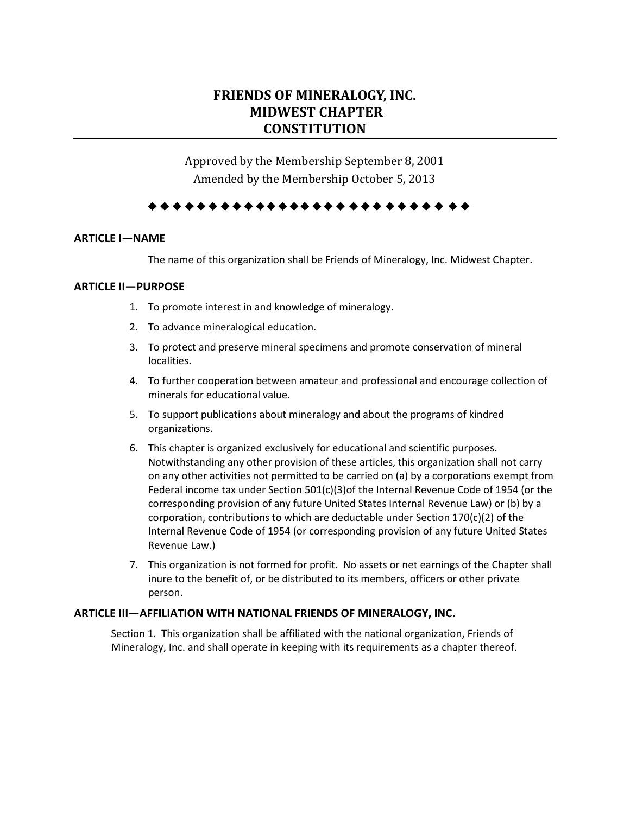# **FRIENDS OF MINERALOGY, INC. MIDWEST CHAPTER CONSTITUTION**

Approved by the Membership September 8, 2001 Amended by the Membership October 5, 2013

## 

## **ARTICLE I—NAME**

The name of this organization shall be Friends of Mineralogy, Inc. Midwest Chapter.

## **ARTICLE II—PURPOSE**

- 1. To promote interest in and knowledge of mineralogy.
- 2. To advance mineralogical education.
- 3. To protect and preserve mineral specimens and promote conservation of mineral localities.
- 4. To further cooperation between amateur and professional and encourage collection of minerals for educational value.
- 5. To support publications about mineralogy and about the programs of kindred organizations.
- 6. This chapter is organized exclusively for educational and scientific purposes. Notwithstanding any other provision of these articles, this organization shall not carry on any other activities not permitted to be carried on (a) by a corporations exempt from Federal income tax under Section 501(c)(3)of the Internal Revenue Code of 1954 (or the corresponding provision of any future United States Internal Revenue Law) or (b) by a corporation, contributions to which are deductable under Section 170(c)(2) of the Internal Revenue Code of 1954 (or corresponding provision of any future United States Revenue Law.)
- 7. This organization is not formed for profit. No assets or net earnings of the Chapter shall inure to the benefit of, or be distributed to its members, officers or other private person.

## **ARTICLE III—AFFILIATION WITH NATIONAL FRIENDS OF MINERALOGY, INC.**

Section 1. This organization shall be affiliated with the national organization, Friends of Mineralogy, Inc. and shall operate in keeping with its requirements as a chapter thereof.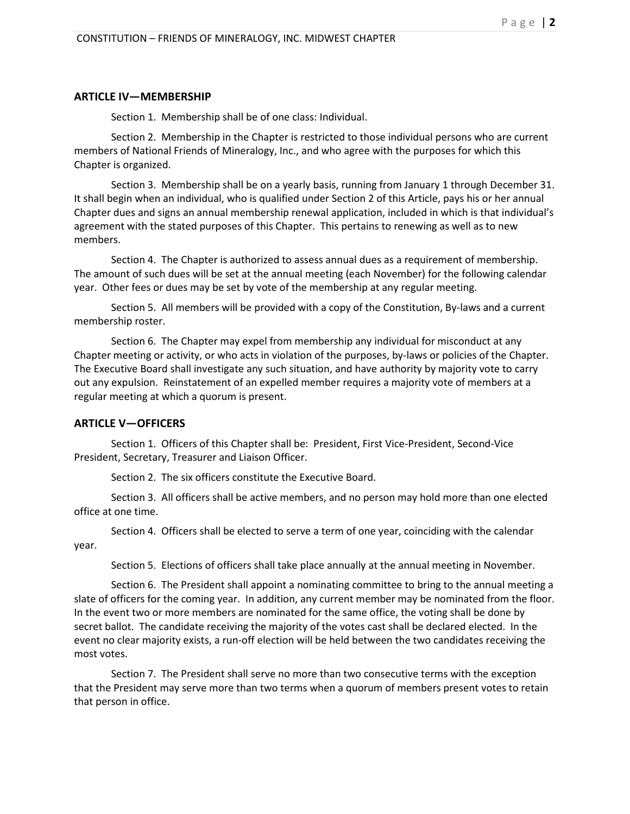#### **ARTICLE IV—MEMBERSHIP**

Section 1. Membership shall be of one class: Individual.

Section 2. Membership in the Chapter is restricted to those individual persons who are current members of National Friends of Mineralogy, Inc., and who agree with the purposes for which this Chapter is organized.

Section 3. Membership shall be on a yearly basis, running from January 1 through December 31. It shall begin when an individual, who is qualified under Section 2 of this Article, pays his or her annual Chapter dues and signs an annual membership renewal application, included in which is that individual's agreement with the stated purposes of this Chapter. This pertains to renewing as well as to new members.

Section 4. The Chapter is authorized to assess annual dues as a requirement of membership. The amount of such dues will be set at the annual meeting (each November) for the following calendar year. Other fees or dues may be set by vote of the membership at any regular meeting.

Section 5. All members will be provided with a copy of the Constitution, By-laws and a current membership roster.

Section 6. The Chapter may expel from membership any individual for misconduct at any Chapter meeting or activity, or who acts in violation of the purposes, by-laws or policies of the Chapter. The Executive Board shall investigate any such situation, and have authority by majority vote to carry out any expulsion. Reinstatement of an expelled member requires a majority vote of members at a regular meeting at which a quorum is present.

## **ARTICLE V—OFFICERS**

Section 1. Officers of this Chapter shall be: President, First Vice-President, Second-Vice President, Secretary, Treasurer and Liaison Officer.

Section 2. The six officers constitute the Executive Board.

Section 3. All officers shall be active members, and no person may hold more than one elected office at one time.

Section 4. Officers shall be elected to serve a term of one year, coinciding with the calendar year.

Section 5. Elections of officers shall take place annually at the annual meeting in November.

Section 6. The President shall appoint a nominating committee to bring to the annual meeting a slate of officers for the coming year. In addition, any current member may be nominated from the floor. In the event two or more members are nominated for the same office, the voting shall be done by secret ballot. The candidate receiving the majority of the votes cast shall be declared elected. In the event no clear majority exists, a run-off election will be held between the two candidates receiving the most votes.

Section 7. The President shall serve no more than two consecutive terms with the exception that the President may serve more than two terms when a quorum of members present votes to retain that person in office.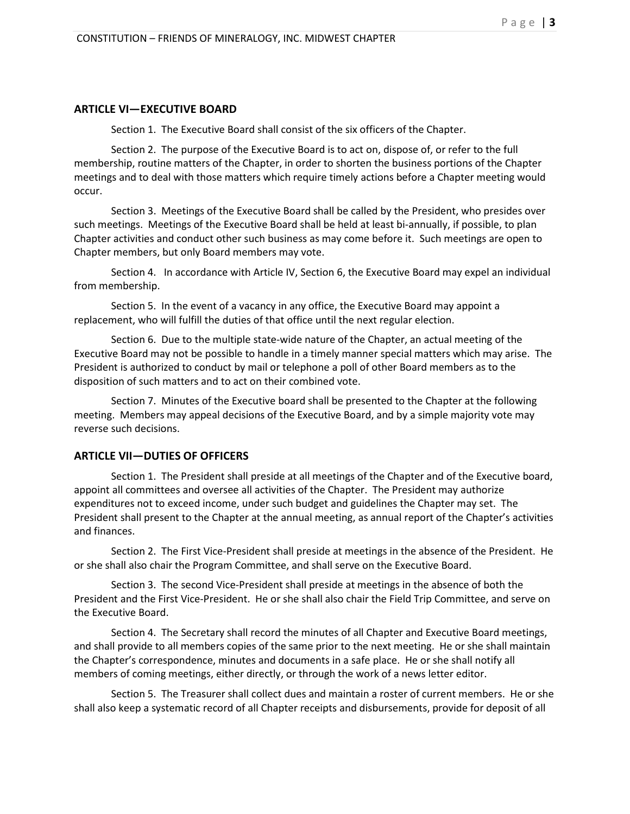## **ARTICLE VI—EXECUTIVE BOARD**

Section 1. The Executive Board shall consist of the six officers of the Chapter.

Section 2. The purpose of the Executive Board is to act on, dispose of, or refer to the full membership, routine matters of the Chapter, in order to shorten the business portions of the Chapter meetings and to deal with those matters which require timely actions before a Chapter meeting would occur.

Section 3. Meetings of the Executive Board shall be called by the President, who presides over such meetings. Meetings of the Executive Board shall be held at least bi-annually, if possible, to plan Chapter activities and conduct other such business as may come before it. Such meetings are open to Chapter members, but only Board members may vote.

Section 4. In accordance with Article IV, Section 6, the Executive Board may expel an individual from membership.

Section 5. In the event of a vacancy in any office, the Executive Board may appoint a replacement, who will fulfill the duties of that office until the next regular election.

Section 6. Due to the multiple state-wide nature of the Chapter, an actual meeting of the Executive Board may not be possible to handle in a timely manner special matters which may arise. The President is authorized to conduct by mail or telephone a poll of other Board members as to the disposition of such matters and to act on their combined vote.

Section 7. Minutes of the Executive board shall be presented to the Chapter at the following meeting. Members may appeal decisions of the Executive Board, and by a simple majority vote may reverse such decisions.

## **ARTICLE VII—DUTIES OF OFFICERS**

Section 1. The President shall preside at all meetings of the Chapter and of the Executive board, appoint all committees and oversee all activities of the Chapter. The President may authorize expenditures not to exceed income, under such budget and guidelines the Chapter may set. The President shall present to the Chapter at the annual meeting, as annual report of the Chapter's activities and finances.

Section 2. The First Vice-President shall preside at meetings in the absence of the President. He or she shall also chair the Program Committee, and shall serve on the Executive Board.

Section 3. The second Vice-President shall preside at meetings in the absence of both the President and the First Vice-President. He or she shall also chair the Field Trip Committee, and serve on the Executive Board.

Section 4. The Secretary shall record the minutes of all Chapter and Executive Board meetings, and shall provide to all members copies of the same prior to the next meeting. He or she shall maintain the Chapter's correspondence, minutes and documents in a safe place. He or she shall notify all members of coming meetings, either directly, or through the work of a news letter editor.

Section 5. The Treasurer shall collect dues and maintain a roster of current members. He or she shall also keep a systematic record of all Chapter receipts and disbursements, provide for deposit of all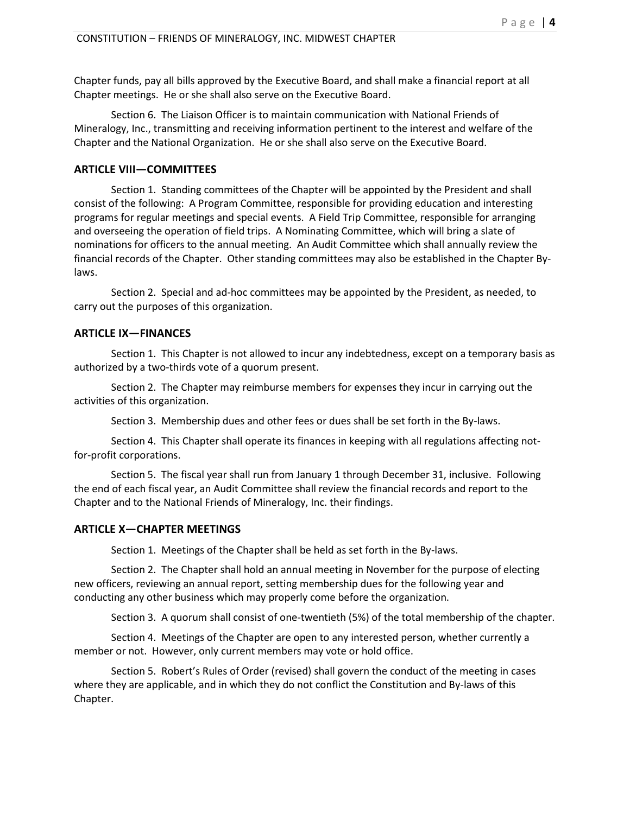Chapter funds, pay all bills approved by the Executive Board, and shall make a financial report at all Chapter meetings. He or she shall also serve on the Executive Board.

Section 6. The Liaison Officer is to maintain communication with National Friends of Mineralogy, Inc., transmitting and receiving information pertinent to the interest and welfare of the Chapter and the National Organization. He or she shall also serve on the Executive Board.

# **ARTICLE VIII—COMMITTEES**

Section 1. Standing committees of the Chapter will be appointed by the President and shall consist of the following: A Program Committee, responsible for providing education and interesting programs for regular meetings and special events. A Field Trip Committee, responsible for arranging and overseeing the operation of field trips. A Nominating Committee, which will bring a slate of nominations for officers to the annual meeting. An Audit Committee which shall annually review the financial records of the Chapter. Other standing committees may also be established in the Chapter Bylaws.

Section 2. Special and ad-hoc committees may be appointed by the President, as needed, to carry out the purposes of this organization.

# **ARTICLE IX—FINANCES**

Section 1. This Chapter is not allowed to incur any indebtedness, except on a temporary basis as authorized by a two-thirds vote of a quorum present.

Section 2. The Chapter may reimburse members for expenses they incur in carrying out the activities of this organization.

Section 3. Membership dues and other fees or dues shall be set forth in the By-laws.

Section 4. This Chapter shall operate its finances in keeping with all regulations affecting notfor-profit corporations.

Section 5. The fiscal year shall run from January 1 through December 31, inclusive. Following the end of each fiscal year, an Audit Committee shall review the financial records and report to the Chapter and to the National Friends of Mineralogy, Inc. their findings.

## **ARTICLE X—CHAPTER MEETINGS**

Section 1. Meetings of the Chapter shall be held as set forth in the By-laws.

Section 2. The Chapter shall hold an annual meeting in November for the purpose of electing new officers, reviewing an annual report, setting membership dues for the following year and conducting any other business which may properly come before the organization.

Section 3. A quorum shall consist of one-twentieth (5%) of the total membership of the chapter.

Section 4. Meetings of the Chapter are open to any interested person, whether currently a member or not. However, only current members may vote or hold office.

Section 5. Robert's Rules of Order (revised) shall govern the conduct of the meeting in cases where they are applicable, and in which they do not conflict the Constitution and By-laws of this Chapter.